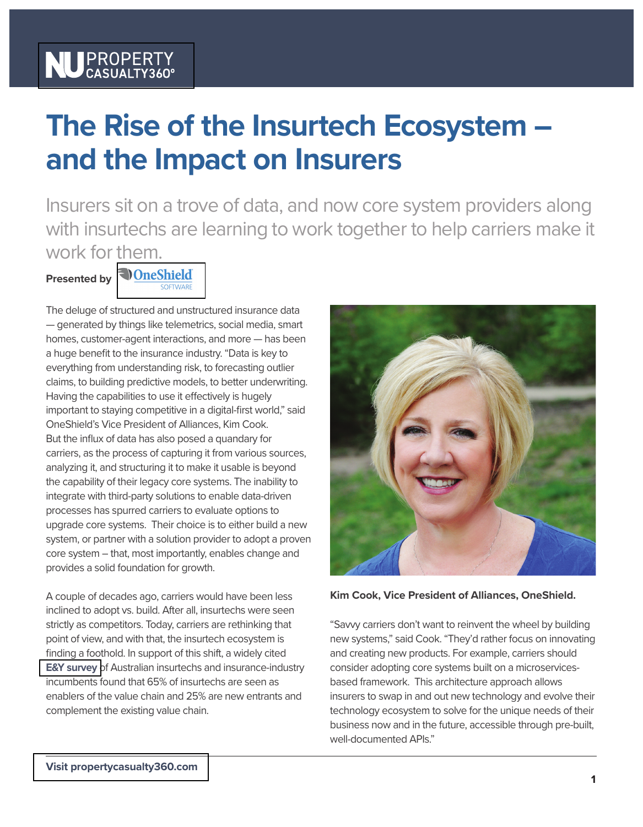## NU PROPERT

## **The Rise of the Insurtech Ecosystem – and the Impact on Insurers**

Insurers sit on a trove of data, and now core system providers along with insurtechs are learning to work together to help carriers make it work for [them.](https://oneshield.com/)

**Presented by <u>DoneShield</u>** 

The deluge of structured and unstructured insurance data — generated by things like telemetrics, social media, smart homes, customer-agent interactions, and more — has been a huge benefit to the insurance industry. "Data is key to everything from understanding risk, to forecasting outlier

claims, to building predictive models, to better underwriting. Having the capabilities to use it effectively is hugely important to staying competitive in a digital-first world," said OneShield's Vice President of Alliances, Kim Cook. But the influx of data has also posed a quandary for carriers, as the process of capturing it from various sources, analyzing it, and structuring it to make it usable is beyond the capability of their legacy core systems. The inability to integrate with third-party solutions to enable data-driven processes has spurred carriers to evaluate options to upgrade core systems. Their choice is to either build a new system, or partner with a solution provider to adopt a proven core system – that, most importantly, enables change and provides a solid foundation for growth.

A couple of decades ago, carriers would have been less inclined to adopt vs. build. After all, insurtechs were seen strictly as competitors. Today, carriers are rethinking that point of view, and with that, the insurtech ecosystem is finding a foothold. In support of this shift, a widely cited **[E&Y survey](https://images.propertycasualty360.com/contrib/content/uploads/documents/276/1358-ey-and-insurtech-australia-ecosystem-report-2018.pdf)** of Australian insurtechs and insurance-industry incumbents found that 65% of insurtechs are seen as enablers of the value chain and 25% are new entrants and complement the existing value chain.



**Kim Cook, Vice President of Alliances, OneShield.**

"Savvy carriers don't want to reinvent the wheel by building new systems," said Cook. "They'd rather focus on innovating and creating new products. For example, carriers should consider adopting core systems built on a microservicesbased framework. This architecture approach allows insurers to swap in and out new technology and evolve their technology ecosystem to solve for the unique needs of their business now and in the future, accessible through pre-built, well-documented APIs."